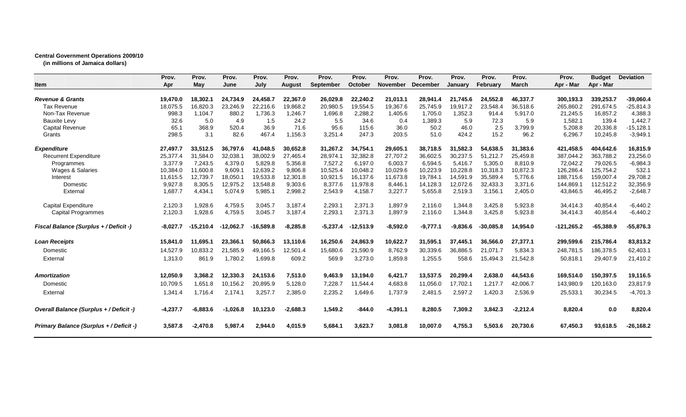## **Central Government Operations 2009/10**

**(in millions of Jamaica dollars)**

|                                               | Prov.      | Prov.       | Prov.       | Prov.       | Prov.         | Prov.            | Prov.       | Prov.           | Prov.           | Prov.          | Prov.       | Prov.        | Prov.        | <b>Budget</b> | <b>Deviation</b> |
|-----------------------------------------------|------------|-------------|-------------|-------------|---------------|------------------|-------------|-----------------|-----------------|----------------|-------------|--------------|--------------|---------------|------------------|
| Item                                          | Apr        | May         | June        | July        | <b>August</b> | <b>September</b> | October     | <b>November</b> | <b>December</b> | <b>January</b> | February    | <b>March</b> | Apr - Mar    | Apr - Mar     |                  |
| <b>Revenue &amp; Grants</b>                   | 19,470.0   | 18,302.1    | 24.734.9    | 24.458.7    | 22.367.0      | 26.029.8         | 22.240.2    | 21,013.1        | 28,941.4        | 21.745.6       | 24.552.8    | 46,337.7     | 300,193.3    | 339,253.7     | $-39,060.4$      |
| <b>Tax Revenue</b>                            | 18,075.5   | 16.820.3    | 23.246.9    | 22.216.6    | 19.868.2      | 20,980.5         | 19.554.5    | 19.367.6        | 25.745.9        | 19,917.2       | 23.548.4    | 36.518.6     | 265.860.2    | 291.674.5     | $-25,814.3$      |
| Non-Tax Revenue                               | 998.3      | 1.104.7     | 880.2       | 1,736.3     | 1,246.7       | 1,696.8          | 2,288.2     | 1,405.6         | 1,705.0         | 1,352.3        | 914.4       | 5,917.0      | 21,245.5     | 16,857.2      | 4,388.3          |
| <b>Bauxite Levy</b>                           | 32.6       | 5.0         | 4.9         | 1.5         | 24.2          | 5.5              | 34.6        | 0.4             | 1.389.3         | 5.9            | 72.3        | 5.9          | 1,582.1      | 139.4         | 1,442.7          |
| <b>Capital Revenue</b>                        | 65.1       | 368.9       | 520.4       | 36.9        | 71.6          | 95.6             | 115.6       | 36.0            | 50.2            | 46.0           | 2.5         | 3,799.9      | 5,208.8      | 20,336.8      | $-15, 128.1$     |
| Grants                                        | 298.5      | 3.1         | 82.6        | 467.4       | 1,156.3       | 3,251.4          | 247.3       | 203.5           | 51.0            | 424.2          | 15.2        | 96.2         | 6,296.7      | 10,245.8      | $-3,949.1$       |
| <b>Expenditure</b>                            | 27,497.7   | 33,512.5    | 36,797.6    | 41,048.5    | 30,652.8      | 31,267.2         | 34,754.1    | 29,605.1        | 38,718.5        | 31,582.3       | 54,638.5    | 31,383.6     | 421,458.5    | 404,642.6     | 16,815.9         |
| <b>Recurrent Expenditure</b>                  | 25,377.4   | 31,584.0    | 32,038.1    | 38,002.9    | 27,465.4      | 28,974.1         | 32,382.8    | 27,707.2        | 36,602.5        | 30,237.5       | 51,212.7    | 25,459.8     | 387,044.2    | 363,788.2     | 23,256.0         |
| Programmes                                    | 3.377.9    | 7.243.5     | 4,379.0     | 5,829.8     | 5,356.8       | 7,527.2          | 6.197.0     | 6,003.7         | 6,594.5         | 5,416.7        | 5,305.0     | 8,810.9      | 72,042.2     | 79,026.5      | $-6,984.3$       |
| Wages & Salaries                              | 10,384.0   | 11,600.8    | 9,609.1     | 12,639.2    | 9,806.8       | 10,525.4         | 10,048.2    | 10,029.6        | 10,223.9        | 10,228.8       | 10,318.3    | 10,872.3     | 126,286.4    | 125,754.2     | 532.1            |
| Interest                                      | 11,615.5   | 12,739.7    | 18,050.1    | 19,533.8    | 12,301.8      | 10,921.5         | 16,137.6    | 11,673.8        | 19,784.1        | 14,591.9       | 35,589.4    | 5,776.6      | 188,715.6    | 159,007.4     | 29,708.2         |
| Domestic                                      | 9,927.8    | 8,305.5     | 12,975.2    | 13,548.8    | 9,303.6       | 8,377.6          | 11,978.8    | 8,446.1         | 14,128.3        | 12,072.6       | 32,433.3    | 3,371.6      | 144,869.1    | 112,512.2     | 32,356.9         |
| External                                      | 1,687.7    | 4,434.1     | 5,074.9     | 5,985.1     | 2,998.2       | 2,543.9          | 4,158.7     | 3,227.7         | 5,655.8         | 2,519.3        | 3,156.1     | 2,405.0      | 43,846.5     | 46,495.2      | $-2,648.7$       |
| <b>Capital Expenditure</b>                    | 2,120.3    | 1,928.6     | 4,759.5     | 3,045.7     | 3,187.4       | 2,293.1          | 2,371.3     | 1,897.9         | 2,116.0         | 1,344.8        | 3,425.8     | 5,923.8      | 34,414.3     | 40,854.4      | $-6,440.2$       |
| <b>Capital Programmes</b>                     | 2,120.3    | 1,928.6     | 4,759.5     | 3,045.7     | 3,187.4       | 2,293.1          | 2,371.3     | 1,897.9         | 2,116.0         | 1,344.8        | 3,425.8     | 5,923.8      | 34,414.3     | 40,854.4      | $-6,440.2$       |
| <b>Fiscal Balance (Surplus + / Deficit -)</b> | $-8,027.7$ | $-15,210.4$ | $-12,062.7$ | $-16,589.8$ | $-8,285.8$    | $-5,237.4$       | $-12,513.9$ | $-8,592.0$      | $-9,777.1$      | $-9,836.6$     | $-30,085.8$ | 14,954.0     | $-121,265.2$ | $-65,388.9$   | $-55,876.3$      |
| <b>Loan Receipts</b>                          | 15,841.0   | 11,695.1    | 23,366.1    | 50,866.3    | 13,110.6      | 16,250.6         | 24,863.9    | 10,622.7        | 31,595.1        | 37,445.1       | 36,566.0    | 27,377.1     | 299,599.6    | 215,786.4     | 83,813.2         |
| Domestic                                      | 14,527.9   | 10,833.2    | 21,585.9    | 49,166.5    | 12,501.4      | 15,680.6         | 21,590.9    | 8,762.9         | 30,339.6        | 36,886.5       | 21.071.7    | 5,834.3      | 248,781.5    | 186,378.5     | 62,403.1         |
| External                                      | 1,313.0    | 861.9       | 1,780.2     | 1,699.8     | 609.2         | 569.9            | 3,273.0     | 1,859.8         | 1,255.5         | 558.6          | 15,494.3    | 21,542.8     | 50,818.1     | 29,407.9      | 21,410.2         |
| <b>Amortization</b>                           | 12,050.9   | 3,368.2     | 12,330.3    | 24,153.6    | 7,513.0       | 9,463.9          | 13,194.0    | 6,421.7         | 13,537.5        | 20,299.4       | 2,638.0     | 44,543.6     | 169,514.0    | 150,397.5     | 19,116.5         |
| Domestic                                      | 10,709.5   | 1,651.8     | 10,156.2    | 20,895.9    | 5,128.0       | 7,228.7          | 11,544.4    | 4,683.8         | 11,056.0        | 17,702.1       | 1,217.7     | 42,006.7     | 143,980.9    | 120,163.0     | 23,817.9         |
|                                               |            | 1.716.4     |             |             |               |                  |             |                 |                 |                |             |              |              |               |                  |
| External                                      | 1,341.4    |             | 2,174.1     | 3,257.7     | 2,385.0       | 2,235.2          | 1,649.6     | 1,737.9         | 2,481.5         | 2,597.2        | 1,420.3     | 2,536.9      | 25,533.1     | 30,234.5      | $-4,701.3$       |
| Overall Balance (Surplus + / Deficit -)       | $-4,237.7$ | $-6.883.6$  | $-1.026.8$  | 10,123.0    | $-2.688.3$    | 1,549.2          | $-844.0$    | $-4,391.1$      | 8.280.5         | 7,309.2        | 3.842.3     | $-2,212.4$   | 8,820.4      | 0.0           | 8,820.4          |
| Primary Balance (Surplus + / Deficit -)       | 3,587.8    | $-2,470.8$  | 5,987.4     | 2,944.0     | 4,015.9       | 5,684.1          | 3,623.7     | 3,081.8         | 10,007.0        | 4,755.3        | 5,503.6     | 20,730.6     | 67,450.3     | 93,618.5      | $-26,168.2$      |